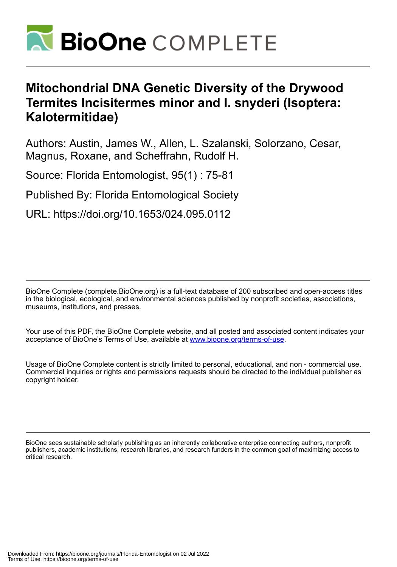

# **Mitochondrial DNA Genetic Diversity of the Drywood Termites Incisitermes minor and I. snyderi (Isoptera: Kalotermitidae)**

Authors: Austin, James W., Allen, L. Szalanski, Solorzano, Cesar, Magnus, Roxane, and Scheffrahn, Rudolf H.

Source: Florida Entomologist, 95(1) : 75-81

Published By: Florida Entomological Society

URL: https://doi.org/10.1653/024.095.0112

BioOne Complete (complete.BioOne.org) is a full-text database of 200 subscribed and open-access titles in the biological, ecological, and environmental sciences published by nonprofit societies, associations, museums, institutions, and presses.

Your use of this PDF, the BioOne Complete website, and all posted and associated content indicates your acceptance of BioOne's Terms of Use, available at www.bioone.org/terms-of-use.

Usage of BioOne Complete content is strictly limited to personal, educational, and non - commercial use. Commercial inquiries or rights and permissions requests should be directed to the individual publisher as copyright holder.

BioOne sees sustainable scholarly publishing as an inherently collaborative enterprise connecting authors, nonprofit publishers, academic institutions, research libraries, and research funders in the common goal of maximizing access to critical research.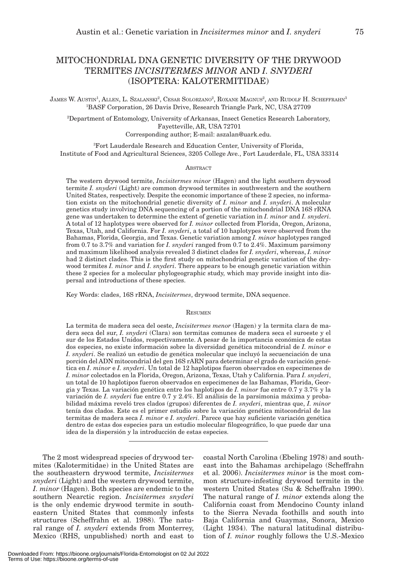# MITOCHONDRIAL DNA GENETIC DIVERSITY OF THE DRYWOOD TERMITES *INCISITERMES MINOR* AND *I. SNYDERI* (ISOPTERA: KALOTERMITIDAE)

JAMES W. AUSTIN<sup>1</sup>, ALLEN, L. SZALANSKI<sup>2</sup>, CESAR SOLORZANO<sup>2</sup>, ROXANE MAGNUS<sup>2</sup>, AND RUDOLF H. SCHEFFRAHN<sup>3</sup> 1 BASF Corporation, 26 Davis Drive, Research Triangle Park, NC, USA 27709

2 Department of Entomology, University of Arkansas, Insect Genetics Research Laboratory, Fayetteville, AR, USA 72701 Corresponding author; E-mail: aszalan@uark.edu.

3 Fort Lauderdale Research and Education Center, University of Florida, Institute of Food and Agricultural Sciences, 3205 College Ave., Fort Lauderdale, FL, USA 33314

## **ABSTRACT**

The western drywood termite, *Incisitermes minor* (Hagen) and the light southern drywood termite *I. snyderi* (Light) are common drywood termites in southwestern and the southern United States, respectively. Despite the economic importance of these 2 species, no information exists on the mitochondrial genetic diversity of *I. minor* and *I. snyderi*. A molecular genetics study involving DNA sequencing of a portion of the mitochondrial DNA 16S rRNA gene was undertaken to determine the extent of genetic variation in *I. minor* and *I. snyderi*. A total of 12 haplotypes were observed for *I. minor* collected from Florida, Oregon, Arizona, Texas, Utah, and California. For *I. snyderi*, a total of 10 haplotypes were observed from the Bahamas, Florida, Georgia, and Texas. Genetic variation among *I. minor* haplotypes ranged from 0.7 to 3.7% and variation for *I. snyderi* ranged from 0.7 to 2.4%. Maximum parsimony and maximum likelihood analysis revealed 3 distinct clades for *I. snyderi*, whereas, *I. minor* had 2 distinct clades. This is the first study on mitochondrial genetic variation of the drywood termites *I. minor* and *I. snyderi*. There appears to be enough genetic variation within these 2 species for a molecular phylogeographic study, which may provide insight into dispersal and introductions of these species.

Key Words: clades, 16S rRNA, *Incisitermes*, drywood termite, DNA sequence.

#### **RESUMEN**

La termita de madera seca del oeste, *Incisitermes menor* (Hagen) y la termita clara de madera seca del sur, *I. snyderi* (Clara) son termitas comunes de madera seca el suroeste y el sur de los Estados Unidos, respectivamente. A pesar de la importancia económica de estas dos especies, no existe información sobre la diversidad genética mitocondrial de *I. minor* e *I. snyderi*. Se realizó un estudio de genética molecular que incluyó la secuenciación de una porción del ADN mitocondrial del gen 16S rARN para determinar el grado de variación genética en *I. minor* e *I. snyderi*. Un total de 12 haplotipos fueron observados en especimenes de *I. minor* colectados en la Florida, Oregon, Arizona, Texas, Utah y California. Para *I. snyderi*, un total de 10 haplotipos fueron observados en especimenes de las Bahamas, Florida, Georgia y Texas. La variación genética entre los haplotipos de *I. minor* fue entre 0.7 y 3.7% y la variación de *I. snyderi* fue entre 0.7 y 2.4%. El análisis de la parsimonia máxima y probabilidad máxima reveló tres clados (grupos) diferentes de *I. snyderi*, mientras que, *I. minor* tenía dos clados. Este es el primer estudio sobre la variación genética mitocondrial de las termitas de madera seca *I. minor* e *I. snyderi*. Parece que hay suficiente variación genética dentro de estas dos especies para un estudio molecular filogeográfico, lo que puede dar una idea de la dispersión y la introducción de estas especies.

The 2 most widespread species of drywood termites (Kalotermitidae) in the United States are the southeastern drywood termite, *Incisitermes snyderi* (Light) and the western drywood termite, *I. minor* (Hagen). Both species are endemic to the southern Nearctic region. *Incisitermes snyderi* is the only endemic drywood termite in southeastern United States that commonly infests structures (Scheffrahn et al. 1988). The natural range of *I. snyderi* extends from Monterrey, Mexico (RHS, unpublished) north and east to

coastal North Carolina (Ebeling 1978) and southeast into the Bahamas archipelago (Scheffrahn et al. 2006). *Incisitermes minor* is the most common structure-infesting drywood termite in the western United States (Su & Scheffrahn 1990). The natural range of *I. minor* extends along the California coast from Mendocino County inland to the Sierra Nevada foothills and south into Baja California and Guaymas, Sonora, Mexico (Light 1934). The natural latitudinal distribution of *I. minor* roughly follows the U.S.-Mexico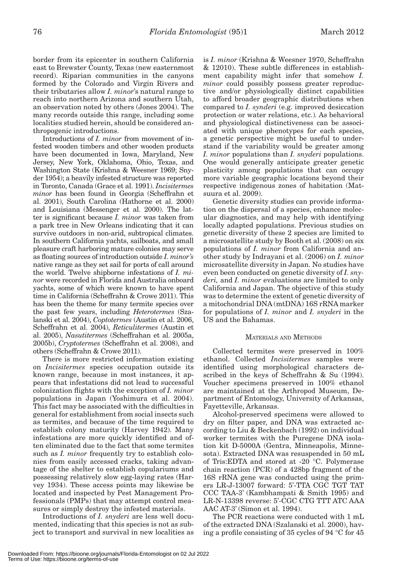border from its epicenter in southern California east to Brewster County, Texas (new easternmost record). Riparian communities in the canyons formed by the Colorado and Virgin Rivers and their tributaries allow *I. minor*'s natural range to reach into northern Arizona and southern Utah, an observation noted by others (Jones 2004). The many records outside this range, including some localities studied herein, should be considered anthropogenic introductions.

Introductions of *I. minor* from movement of infested wooden timbers and other wooden products have been documented in Iowa, Maryland, New Jersey, New York, Oklahoma, Ohio, Texas, and Washington State (Krishna & Weesner 1969; Snyder 1954); a heavily infested structure was reported in Toronto, Canada (Grace et al. 1991). *Incisitermes minor* has been found in Georgia (Scheffrahn et al. 2001), South Carolina (Hathorne et al. 2000) and Louisiana (Messenger et al. 2000). The latter is significant because *I. minor* was taken from a park tree in New Orleans indicating that it can survive outdoors in non-arid, subtropical climates. In southern California yachts, sailboats, and small pleasure craft harboring mature colonies may serve as floating sources of introduction outside *I. minor's*  native range as they set sail for ports of call around the world. Twelve shipborne infestations of *I. minor* were recorded in Florida and Australia onboard yachts, some of which were known to have spent time in California (Scheffrahn & Crowe 2011). This has been the theme for many termite species over the past few years, including *Heterotermes* (Szalanski et al. 2004), *Coptotermes* (Austin et al. 2006, Scheffrahn et al. 2004), *Reticulitermes* (Austin et al. 2005), *Nasutitermes* (Scheffrahan et al. 2005a, 2005b), *Cryptotermes* (Scheffrahn et al. 2008), and others (Scheffrahn & Crowe 2011).

There is more restricted information existing on *Incisitermes* species occupation outside its known range, because in most instances, it appears that infestations did not lead to successful colonization flights with the exception of *I. minor* populations in Japan (Yoshimura et al. 2004). This fact may be associated with the difficulties in general for establishment from social insects such as termites, and because of the time required to establish colony maturity (Harvey 1942). Many infestations are more quickly identified and often eliminated due to the fact that some termites such as *I. minor* frequently try to establish colonies from easily accessed cracks, taking advantage of the shelter to establish copulariums and possessing relatively slow egg-laying rates (Harvey 1934). These access points may likewise be located and inspected by Pest Management Professionals (PMPs) that may attempt control measures or simply destroy the infested materials.

Introductions of *I. snyderi* are less well documented, indicating that this species is not as subject to transport and survival in new localities as is *I. minor* (Krishna & Weesner 1970, Scheffrahn & 12010). These subtle differences in establishment capability might infer that somehow *I. minor* could possibly possess greater reproductive and/or physiologically distinct capabilities to afford broader geographic distributions when compared to *I. synderi* (e.g. improved desiccation protection or water relations, etc.)*.* As behavioral and physiological distinctiveness can be associated with unique phenotypes for each species, a genetic perspective might be useful to understand if the variability would be greater among *I. minor* populations than *I. snyderi* populations. One would generally anticipate greater genetic plasticity among populations that can occupy more variable geographic locations beyond their respective indigenous zones of habitation (Matsuura et al. 2009).

Genetic diversity studies can provide information on the dispersal of a species, enhance molecular diagnostics, and may help with identifying locally adapted populations. Previous studies on genetic diversity of these 2 species are limited to a microsatellite study by Booth et al. (2008) on six populations of *I. minor* from California and another study by Indrayani et al. (2006) on *I. minor* microsatellite diversity in Japan. No studies have even been conducted on genetic diversity of *I. snyderi,* and *I. minor* evaluations are limited to only California and Japan. The objective of this study was to determine the extent of genetic diversity of a mitochondrial DNA (mtDNA) 16S rRNA marker for populations of *I. minor* and *I. snyderi* in the US and the Bahamas.

# MATERIALS AND METHODS

Collected termites were preserved in 100% ethanol. Collected *Incisitermes* samples were identified using morphological characters described in the keys of Scheffrahn & Su (1994). Voucher specimens preserved in 100% ethanol are maintained at the Arthropod Museum, Department of Entomology, University of Arkansas, Fayetteville, Arkansas.

Alcohol-preserved specimens were allowed to dry on filter paper, and DNA was extracted according to Liu & Beckenbach (1992) on individual worker termites with the Puregene DNA isolation kit D-5000A (Gentra, Minneapolis, Minnesota). Extracted DNA was resuspended in 50 mL of Tris:EDTA and stored at -20 °C. Polymerase chain reaction (PCR) of a 428bp fragment of the 16S rRNA gene was conducted using the primers LR-J-13007 forward: 5'-TTA CGC TGT TAT CCC TAA-3' (Kambhampati & Smith 1995) and LR-N-13398 reverse: 5'-CGC CTG TTT ATC AAA AAC AT-3' (Simon et al. 1994).

The PCR reactions were conducted with 1 mL of the extracted DNA (Szalanski et al. 2000), having a profile consisting of 35 cycles of 94 °C for 45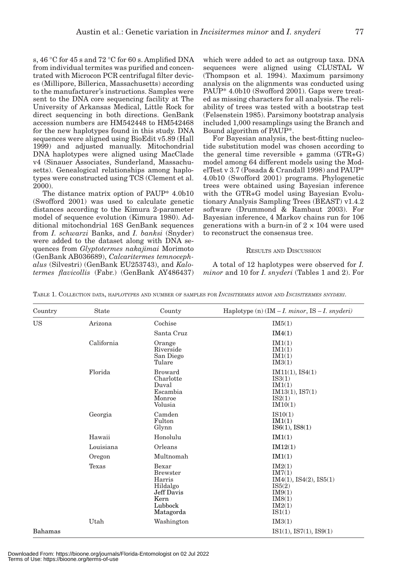s, 46 °C for 45 s and 72 °C for 60 s. Amplified DNA from individual termites was purified and concentrated with Microcon PCR centrifugal filter devices (Millipore, Billerica, Massachusetts) according to the manufacturer's instructions. Samples were sent to the DNA core sequencing facility at The University of Arkansas Medical, Little Rock for direct sequencing in both directions. GenBank accession numbers are HM542448 to HM542468 for the new haplotypes found in this study. DNA sequences were aligned using BioEdit v5.89 (Hall 1999) and adjusted manually. Mitochondrial DNA haplotypes were aligned using MacClade v4 (Sinauer Associates, Sunderland, Massachusetts). Genealogical relationships among haplotypes were constructed using TCS (Clement et al. 2000).

The distance matrix option of PAUP\* 4.0b10 (Swofford 2001) was used to calculate genetic distances according to the Kimura 2-parameter model of sequence evolution (Kimura 1980). Additional mitochondrial 16S GenBank sequences from *I. schwarzi* Banks, and *I. banksi* (Snyder) were added to the dataset along with DNA sequences from *Glyptotermes nakajimai* Morimoto (GenBank AB036689), *Calcaritermes temnocephalus* (Silvestri) (GenBank EU253743), and *Kalotermes flavicollis* (Fabr.) (GenBank AY486437)

which were added to act as outgroup taxa. DNA sequences were aligned using CLUSTAL W (Thompson et al. 1994). Maximum parsimony analysis on the alignments was conducted using PAUP\* 4.0b10 (Swofford 2001). Gaps were treated as missing characters for all analysis. The reliability of trees was tested with a bootstrap test (Felsenstein 1985). Parsimony bootstrap analysis included 1,000 resamplings using the Branch and Bound algorithm of PAUP\*.

For Bayesian analysis, the best-fitting nucleotide substitution model was chosen according to the general time reversible  $+$  gamma (GTR $+G$ ) model among 64 different models using the ModelTest v 3.7 (Posada & Crandall 1998) and PAUP\* 4.0b10 (Swofford 2001) programs. Phylogenetic trees were obtained using Bayesian inference with the GTR+G model using Bayesian Evolutionary Analysis Sampling Trees (BEAST) v1.4.2 software (Drummond & Rambaut 2003). For Bayesian inference, 4 Markov chains run for 106 generations with a burn-in of  $2 \times 104$  were used to reconstruct the consensus tree.

# RESULTS AND DISCUSSION

A total of 12 haplotypes were observed for *I. minor* and 10 for *I. snyderi* (Tables 1 and 2). For

| Country | <b>State</b> | County                                                                                       | Haplotype (n) $(IM - I. minor, IS - I. snyderi)$                                             |
|---------|--------------|----------------------------------------------------------------------------------------------|----------------------------------------------------------------------------------------------|
| US      | Arizona      | Cochise                                                                                      | IM5(1)                                                                                       |
|         |              | Santa Cruz                                                                                   | IM4(1)                                                                                       |
|         | California   | Orange<br>Riverside<br>San Diego<br>Tulare                                                   | IM1(1)<br>IM1(1)<br>IM1(1)<br>IM3(1)                                                         |
|         | Florida      | <b>Broward</b><br>Charlotte<br>Duval<br>Escambia<br>Monroe<br>Volusia                        | IM11(1), IS4(1)<br>IS3(1)<br>IM1(1)<br>IM13(1), IS7(1)<br>IS2(1)<br>IM10(1)                  |
|         | Georgia      | Camden<br>Fulton<br>Glynn                                                                    | IS10(1)<br>IM1(1)<br>ISS(1), ISS(1)                                                          |
|         | Hawaii       | Honolulu                                                                                     | IM1(1)                                                                                       |
|         | Louisiana    | Orleans                                                                                      | IM12(1)                                                                                      |
|         | Oregon       | Multnomah                                                                                    | IM1(1)                                                                                       |
|         | Texas        | Bexar<br><b>Brewster</b><br>Harris<br>Hildalgo<br>Jeff Davis<br>Kern<br>Lubbock<br>Matagorda | IM2(1)<br>IM7(1)<br>IM4(1), IS4(2), IS5(1)<br>IS5(2)<br>IM9(1)<br>IM8(1)<br>IM2(1)<br>IS1(1) |
|         | Utah         | Washington                                                                                   | IM3(1)                                                                                       |
| Bahamas |              |                                                                                              | IS1(1), IS7(1), IS9(1)                                                                       |

TABLE 1. COLLECTION DATA, HAPLOTYPES AND NUMBER OF SAMPLES FOR *INCISITERMES MINOR* AND *INCISITERMES SNYDERI*.

Downloaded From: https://bioone.org/journals/Florida-Entomologist on 02 Jul 2022 Terms of Use: https://bioone.org/terms-of-use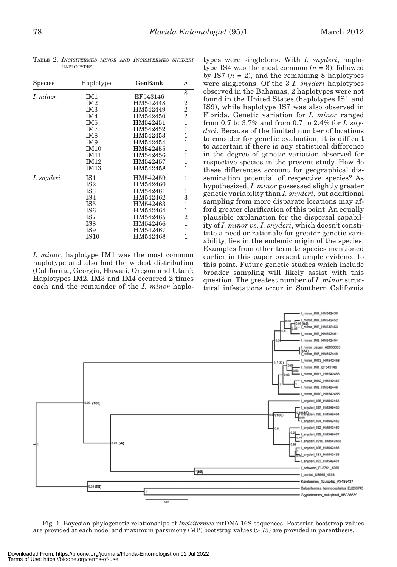| <b>Species</b> | Haplotype       | GenBank  | $\boldsymbol{n}$ |
|----------------|-----------------|----------|------------------|
| I. minor       | IM1             | EF543146 | 8                |
|                | IM2             | HM542448 | 2                |
|                | IM <sub>3</sub> | HM542449 | $\overline{2}$   |
|                | IM4             | HM542450 | $\overline{2}$   |
|                | IM <sub>5</sub> | HM542451 | $\mathbf{1}$     |
|                | IM7             | HM542452 | 1                |
|                | IM <sub>8</sub> | HM542453 | 1                |
|                | IM9             | HM542454 | 1                |
|                | <b>IM10</b>     | HM542455 | $\mathbf{1}$     |
|                | <b>IM11</b>     | HM542456 | 1                |
|                | <b>IM12</b>     | HM542457 | 1                |
|                | <b>IM13</b>     | HM542458 | 1                |
| I. snyderi     | IS1             | HM542459 | 1                |
|                | IS <sub>2</sub> | HM542460 |                  |
|                | IS <sub>3</sub> | HM542461 | 1                |
|                | IS <sub>4</sub> | HM542462 | 3                |
|                | IS <sub>5</sub> | HM542463 | 1                |
|                | IS <sub>6</sub> | HM542464 | 1                |
|                | IS7             | HM542465 | 2                |
|                | IS <sub>8</sub> | HM542466 | 1                |
|                | IS9             | HM542467 | 1                |
|                | <b>IS10</b>     | HM542468 | 1                |

TABLE 2. *INCISITERMES MINOR AND INCISITERMES SNYDERI* HAPLOTYPES.

*I. minor*, haplotype IM1 was the most common haplotype and also had the widest distribution (California, Georgia, Hawaii, Oregon and Utah); Haplotypes IM2, IM3 and IM4 occurred 2 times each and the remainder of the *I. minor* haplo-

types were singletons. With *I. snyderi*, haplotype IS4 was the most common  $(n = 3)$ , followed by IS7  $(n = 2)$ , and the remaining 8 haplotypes were singletons. Of the 3 *I. snyderi* haplotypes observed in the Bahamas, 2 haplotypes were not found in the United States (haplotypes IS1 and IS9), while haplotype IS7 was also observed in Florida. Genetic variation for *I. minor* ranged from 0.7 to 3.7% and from 0.7 to 2.4% for *I. snyderi*. Because of the limited number of locations to consider for genetic evaluation, it is difficult to ascertain if there is any statistical difference in the degree of genetic variation observed for respective species in the present study. How do these differences account for geographical dissemination potential of respective species? As hypothesized, *I. minor* possessed slightly greater genetic variability than *I. snyderi*, but additional sampling from more disparate locations may afford greater clarification of this point. An equally plausible explanation for the dispersal capability of *I. minor vs*. *I. snyderi*, which doesn't constitute a need or rationale for greater genetic variability, lies in the endemic origin of the species. Examples from other termite species mentioned earlier in this paper present ample evidence to this point. Future genetic studies which include broader sampling will likely assist with this question. The greatest number of *I. minor* structural infestations occur in Southern California



Fig. 1. Bayesian phylogenetic relationships of *Incisitermes* mtDNA 16S sequences. Posterior bootstrap values are provided at each node, and maximum parsimony (MP) bootstrap values (> 75) are provided in parenthesis.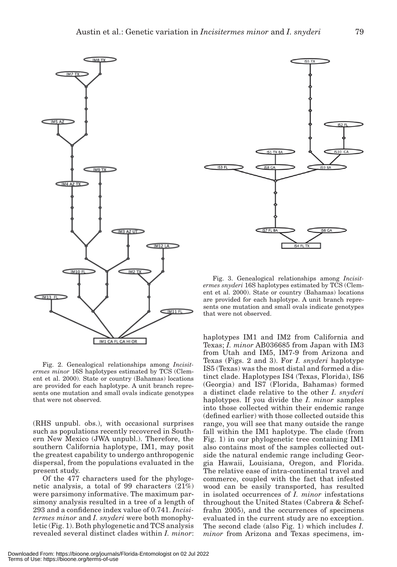

Fig. 2. Genealogical relationships among *Incisitermes minor* 16S haplotypes estimated by TCS (Clement et al. 2000). State or country (Bahamas) locations are provided for each haplotype. A unit branch represents one mutation and small ovals indicate genotypes that were not observed.

(RHS unpubl. obs.), with occasional surprises such as populations recently recovered in Southern New Mexico (JWA unpubl.). Therefore, the southern California haplotype, IM1, may posit the greatest capability to undergo anthropogenic dispersal, from the populations evaluated in the present study.

Of the 477 characters used for the phylogenetic analysis, a total of 99 characters (21%) were parsimony informative. The maximum parsimony analysis resulted in a tree of a length of 293 and a confidence index value of 0.741. *Incisitermes minor* and *I. snyderi* were both monophyletic (Fig. 1). Both phylogenetic and TCS analysis revealed several distinct clades within *I. minor*:



Fig. 3. Genealogical relationships among *Incisitermes snyderi* 16S haplotypes estimated by TCS (Clement et al. 2000). State or country (Bahamas) locations are provided for each haplotype. A unit branch represents one mutation and small ovals indicate genotypes that were not observed.

haplotypes IM1 and IM2 from California and Texas; *I. minor* AB036685 from Japan with IM3 from Utah and IM5, IM7-9 from Arizona and Texas (Figs. 2 and 3). For *I. snyderi* haplotype IS5 (Texas) was the most distal and formed a distinct clade. Haplotypes IS4 (Texas, Florida), IS6 (Georgia) and IS7 (Florida, Bahamas) formed a distinct clade relative to the other *I. snyderi* haplotypes. If you divide the *I. minor* samples into those collected within their endemic range (defined earlier) with those collected outside this range, you will see that many outside the range fall within the IM1 haplotype. The clade (from Fig. 1) in our phylogenetic tree containing IM1 also contains most of the samples collected outside the natural endemic range including Georgia Hawaii, Louisiana, Oregon, and Florida. The relative ease of intra-continental travel and commerce, coupled with the fact that infested wood can be easily transported, has resulted in isolated occurrences of *I. minor* infestations throughout the United States (Cabrera & Scheffrahn 2005), and the occurrences of specimens evaluated in the current study are no exception. The second clade (also Fig. 1) which includes *I. minor* from Arizona and Texas specimens, im-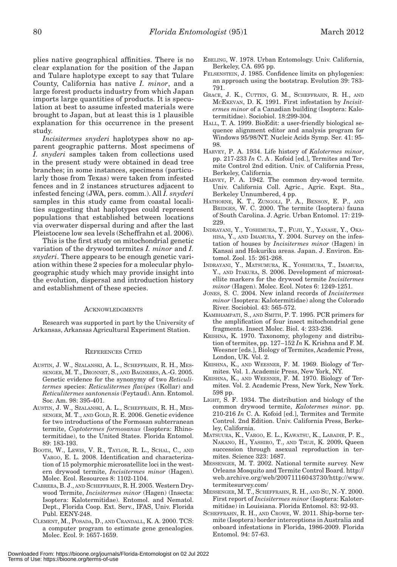plies native geographical affinities. There is no clear explanation for the position of the Japan and Tulare haplotype except to say that Tulare County, California has native *I. minor*, and a large forest products industry from which Japan imports large quantities of products. It is speculation at best to assume infested materials were brought to Japan, but at least this is 1 plausible explanation for this occurrence in the present study.

*Incisitermes snyderi* haplotypes show no apparent geographic patterns. Most specimens of *I. snyderi* samples taken from collections used in the present study were obtained in dead tree branches; in some instances, specimens (particularly those from Texas) were taken from infested fences and in 2 instances structures adjacent to infested fencing (JWA, pers. comm.). All *I. snyderi* samples in this study came from coastal localities suggesting that haplotypes could represent populations that established between locations via overwater dispersal during and after the last Pleistocene low sea levels (Scheffrahn et al. 2006).

This is the first study on mitochondrial genetic variation of the drywood termites *I. minor* and *I. snyderi*. There appears to be enough genetic variation within these 2 species for a molecular phylogeographic study which may provide insight into the evolution, dispersal and introduction history and establishment of these species.

## **ACKNOWLEDGMENTS**

Research was supported in part by the University of Arkansas, Arkansas Agricultural Experiment Station.

#### REFERENCES CITED

- AUSTIN, J. W., SZALANSKI, A. L., SCHEFFRAHN, R. H., MES-SENGER, M. T., DRONNET, S., AND BAGNERES, A.-G. 2005. Genetic evidence for the synonymy of two *Reticulitermes* species: *Reticulitermes flavipes* (Kollar) and *Reticulitermes santonensis* (Feytaud). Ann. Entomol. Soc. Am. 98: 395-401.
- AUSTIN, J. W., SZALANSKI, A. L., SCHEFFRAHN, R. H., MES-SENGER, M. T., AND GOLD, R. E. 2006. Genetic evidence for two introductions of the Formosan subterranean termite, *Coptotermes formosanus* (Isoptera: Rhinotermitidae), to the United States. Florida Entomol. 89: 183-193.
- BOOTH, W., LEWIS, V. R., TAYLOR, R. L., SCHAL, C., AND VARGO, E. L. 2008. Identification and characterization of 15 polymorphic microsatellite loci in the western drywood termite, *Incisitermes minor* (Hagen). Molec. Ecol. Resources 8: 1102-1104.
- CABRERA, B. J., AND SCHEFFRAHN, R. H. 2005. Western Drywood Termite, *Incisitermes minor* (Hagen) (Insecta: Isoptera: Kalotermitidae). Entomol. and Nematol. Dept., Florida Coop. Ext. Serv., IFAS, Univ. Florida Publ. EENY-248.
- CLEMENT, M., POSADA, D., AND CRANDALL, K. A. 2000. TCS: a computer program to estimate gene genealogies. Molec. Ecol. 9: 1657-1659.
- EBELING, W. 1978. Urban Entomology. Univ. California, Berkeley, CA. 695 pp.
- FELSENSTEIN, J. 1985. Confidence limits on phylogenies: an approach using the bootstrap. Evolution 39: 783- 791.
- GRACE, J. K., CUTTEN, G. M., SCHEFFRAHN, R. H., AND MCEKEVAN, D. K. 1991. First infestation by *Incisitermes minor* of a Canadian building (Isoptera: Kalotermitidae). Sociobiol. 18:299-304.
- HALL, T. A. 1999. BioEdit: a user-friendly biological sequence alignment editor and analysis program for Windows 95/98/NT. Nucleic Acids Symp. Ser. 41: 95- 98.
- HARVEY, P. A. 1934. Life history of *Kalotermes minor*, pp. 217-233 *In* C. A . Kofoid [ed.], Termites and Termite Control 2nd edition. Univ. of California Press, Berkeley, California.
- HARVEY, P. A. 1942. The common dry-wood termite. Univ. California Coll. Agric., Agric. Expt. Sta., Berkeley Unnumbered, 4 pp.
- HATHORNE, K. T., ZUNGOLI, P. A., BENSON, E. P., AND BRIDGES, W. C. 2000. The termite (Isoptera) fauna of South Carolina. J. Agric. Urban Entomol. 17: 219- 229.
- INDRAYANI, Y., YOSHIMURA, T., FUJII, Y., YANASE, Y., OKA-HISA, Y., AND IMAMURA, Y. 2004. Survey on the infestation of houses by *Incisitermes minor* (Hagen) in Kansai and Hokuriku areas. Japan. J. Environ. Entomol. Zool. 15: 261-268.
- INDRAYANI, Y., MATSUMURA, K., YOSHIMURA, T., IMAMURA, Y., AND ITAKURA, S. 2006. Development of microsatellite markers for the drywood termite *Incisitermes minor* (Hagen). Molec. Ecol. Notes 6: 1249-1251.
- JONES, S. C. 2004. New inland records of *Incisitermes minor* (Isoptera: Kalotermitidae) along the Colorado River. Sociobiol. 43: 565-572.
- KAMBHAMPATI, S., AND SMITH, P. T. 1995. PCR primers for the amplification of four insect mitochondrial gene fragments. Insect Molec. Biol. 4: 233-236.
- KRISHNA, K. 1970. Taxonomy, phylogeny and distribution of termites, pp. 127–152 *In* K. Krishna and F. M. Weesner [eds.], Biology of Termites, Academic Press, London, UK. Vol. 2.
- KRISHNA, K., AND WEESNER, F. M. 1969. Biology of Termites. Vol. 1. Academic Press, New York, NY.
- KRISHNA, K., AND WEESNER, F. M. 1970. Biology of Termites. Vol. 2. Academic Press, New York, New York. 598 pp.
- LIGHT, S. F. 1934. The distribution and biology of the common drywood termite, *Kalotermes minor*. pp. 210-216 *In* C. A. Kofoid [ed.], Termites and Termite Control. 2nd Edition. Univ. California Press, Berkeley, California.
- MATSUURA, K., VARGO, E. L., KAWATSU, K., LABADIE, P. E., NAKANO, H., YASHIRO, T., AND TSUJI, K. 2009**.** Queen succession through asexual reproduction in termites. Science 323: 1687.
- MESSENGER, M. T. 2002. National termite survey. New Orleans Mosquito and Termite Control Board. http:// web.archive.org/web/20071116043730/http://www. termitesurvey.com/
- MESSENGER, M. T., SCHEFFRAHN, R. H., AND SU, N.-Y. 2000. First report of *Incisitermes minor* (Isoptera: Kalotermitidae) in Louisiana. Florida Entomol. 83: 92-93.
- SCHEFFRAHN, R. H., AND CROWE, W. 2011. Ship-borne termite (Isoptera) border interceptions in Australia and onboard infestations in Florida, 1986-2009. Florida Entomol. 94: 57-63.